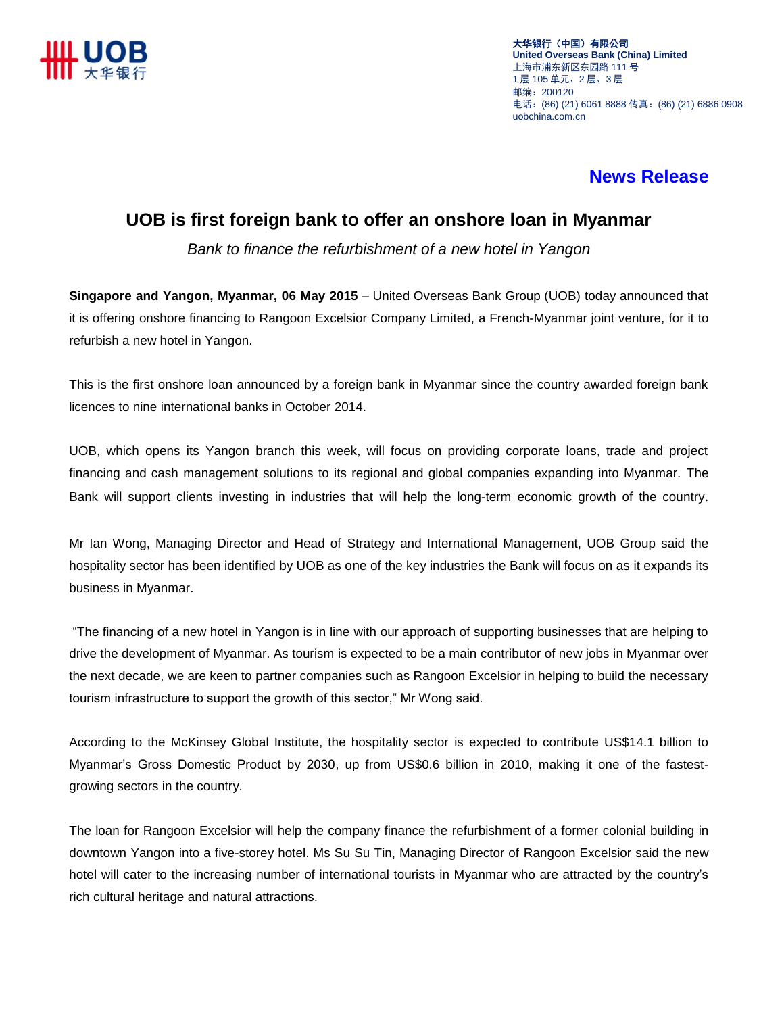

大华银行(中国)有限公司 **United Overseas Bank (China) Limited** 上海市浦东新区东园路 111 号 1 层 105 单元、2 层、3 层 邮编:200120 电话:(86) (21) 6061 8888 传真:(86) (21) 6886 0908 uobchina.com.cn

## **News Release**

## **UOB is first foreign bank to offer an onshore loan in Myanmar**

*Bank to finance the refurbishment of a new hotel in Yangon*

**Singapore and Yangon, Myanmar, 06 May 2015** – United Overseas Bank Group (UOB) today announced that it is offering onshore financing to Rangoon Excelsior Company Limited, a French-Myanmar joint venture, for it to refurbish a new hotel in Yangon.

This is the first onshore loan announced by a foreign bank in Myanmar since the country awarded foreign bank licences to nine international banks in October 2014.

UOB, which opens its Yangon branch this week, will focus on providing corporate loans, trade and project financing and cash management solutions to its regional and global companies expanding into Myanmar. The Bank will support clients investing in industries that will help the long-term economic growth of the country.

Mr Ian Wong, Managing Director and Head of Strategy and International Management, UOB Group said the hospitality sector has been identified by UOB as one of the key industries the Bank will focus on as it expands its business in Myanmar.

"The financing of a new hotel in Yangon is in line with our approach of supporting businesses that are helping to drive the development of Myanmar. As tourism is expected to be a main contributor of new jobs in Myanmar over the next decade, we are keen to partner companies such as Rangoon Excelsior in helping to build the necessary tourism infrastructure to support the growth of this sector," Mr Wong said.

According to the McKinsey Global Institute, the hospitality sector is expected to contribute US\$14.1 billion to Myanmar's Gross Domestic Product by 2030, up from US\$0.6 billion in 2010, making it one of the fastestgrowing sectors in the country.

The loan for Rangoon Excelsior will help the company finance the refurbishment of a former colonial building in downtown Yangon into a five-storey hotel. Ms Su Su Tin, Managing Director of Rangoon Excelsior said the new hotel will cater to the increasing number of international tourists in Myanmar who are attracted by the country's rich cultural heritage and natural attractions.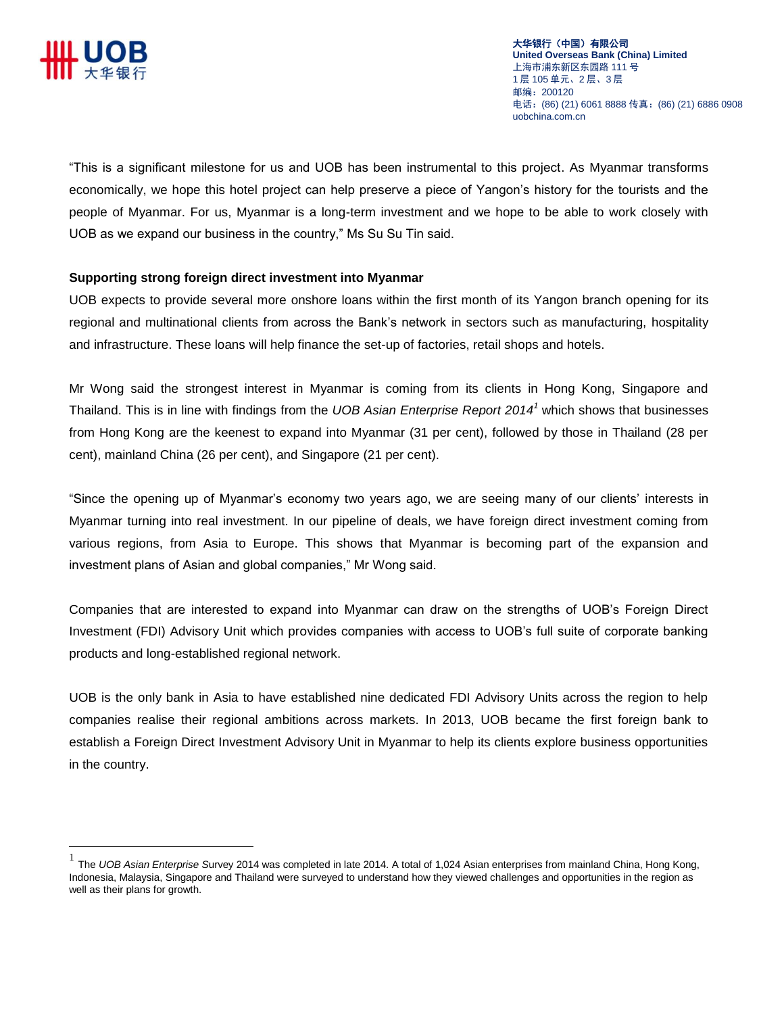

大华银行(中国)有限公司 **United Overseas Bank (China) Limited** 上海市浦东新区东园路 111 号 1 层 105 单元、2 层、3 层 邮编:200120 电话:(86) (21) 6061 8888 传真:(86) (21) 6886 0908 uobchina.com.cn

"This is a significant milestone for us and UOB has been instrumental to this project. As Myanmar transforms economically, we hope this hotel project can help preserve a piece of Yangon's history for the tourists and the people of Myanmar. For us, Myanmar is a long-term investment and we hope to be able to work closely with UOB as we expand our business in the country," Ms Su Su Tin said.

## **Supporting strong foreign direct investment into Myanmar**

UOB expects to provide several more onshore loans within the first month of its Yangon branch opening for its regional and multinational clients from across the Bank's network in sectors such as manufacturing, hospitality and infrastructure. These loans will help finance the set-up of factories, retail shops and hotels.

Mr Wong said the strongest interest in Myanmar is coming from its clients in Hong Kong, Singapore and Thailand. This is in line with findings from the *UOB Asian Enterprise Report 2014<sup>1</sup>* which shows that businesses from Hong Kong are the keenest to expand into Myanmar (31 per cent), followed by those in Thailand (28 per cent), mainland China (26 per cent), and Singapore (21 per cent).

"Since the opening up of Myanmar's economy two years ago, we are seeing many of our clients' interests in Myanmar turning into real investment. In our pipeline of deals, we have foreign direct investment coming from various regions, from Asia to Europe. This shows that Myanmar is becoming part of the expansion and investment plans of Asian and global companies," Mr Wong said.

Companies that are interested to expand into Myanmar can draw on the strengths of UOB's Foreign Direct Investment (FDI) Advisory Unit which provides companies with access to UOB's full suite of corporate banking products and long-established regional network.

UOB is the only bank in Asia to have established nine dedicated FDI Advisory Units across the region to help companies realise their regional ambitions across markets. In 2013, UOB became the first foreign bank to establish a Foreign Direct Investment Advisory Unit in Myanmar to help its clients explore business opportunities in the country.

 1 The *UOB Asian Enterprise S*urvey 2014 was completed in late 2014. A total of 1,024 Asian enterprises from mainland China, Hong Kong, Indonesia, Malaysia, Singapore and Thailand were surveyed to understand how they viewed challenges and opportunities in the region as well as their plans for growth.